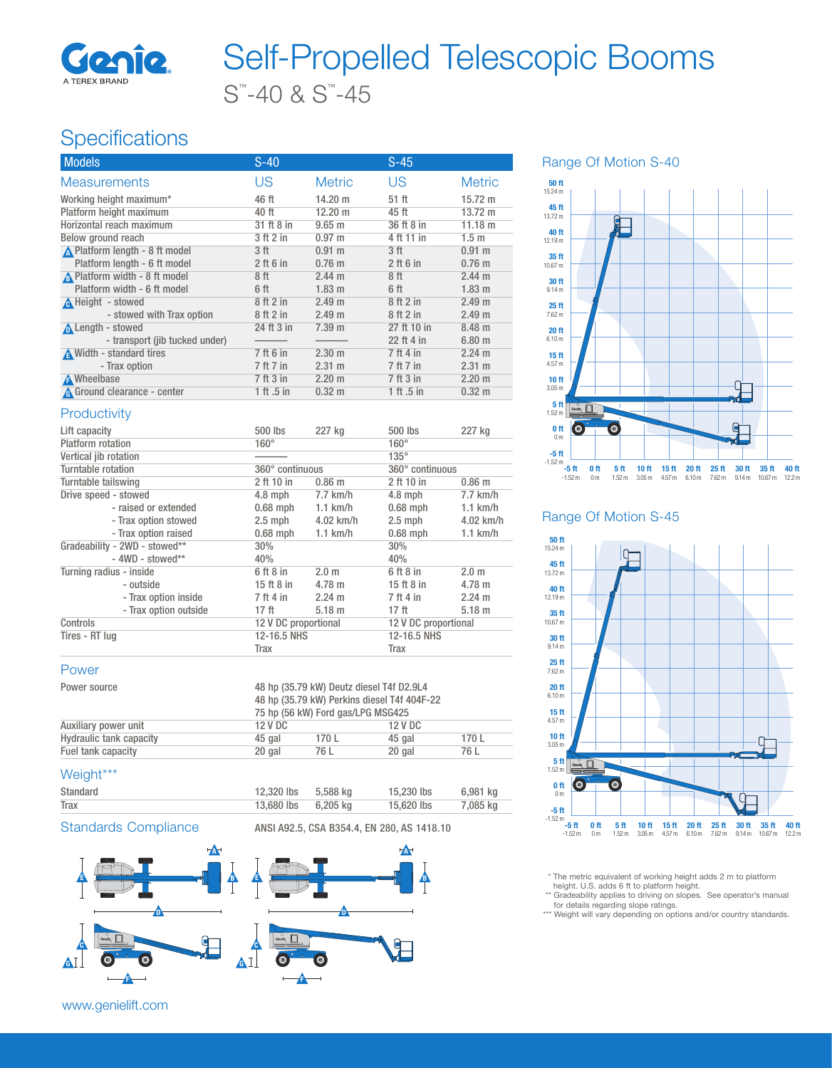

# S™ -40 & S™ -45 Self-Propelled Telescopic Booms

## **Specifications**

| <b>Models</b>                  | $S-40$          |                   | $S-45$          |                   |
|--------------------------------|-----------------|-------------------|-----------------|-------------------|
| <b>Measurements</b>            | US              | <b>Metric</b>     | US              | <b>Metric</b>     |
| Working height maximum*        | 46 ft           | $14.20 \text{ m}$ | 51 ft           | $15.72 \text{ m}$ |
| Platform height maximum        | 40 ft           | $12.20 \text{ m}$ | 45 ft           | $13.72 \text{ m}$ |
| Horizontal reach maximum       | 31 ft 8 in      | $9.65 \text{ m}$  | 36 ft 8 in      | 11.18 m           |
| Below ground reach             | 3 ft 2 in       | $0.97 \;{\rm m}$  | 4 ft 11 in      | 1.5 <sub>m</sub>  |
| A Platform length - 8 ft model | 3 <sub>ft</sub> | $0.91 \;{\rm m}$  | 3 <sub>ft</sub> | $0.91 \text{ m}$  |
| Platform length - 6 ft model   | $2$ ft 6 in     | $0.76$ m          | $2$ ft 6 in     | $0.76$ m          |
| A Platform width - 8 ft model  | 8 ft            | $2.44 \text{ m}$  | 8 ft            | $2.44 \text{ m}$  |
| Platform width - 6 ft model    | 6 ft            | $1.83 \; m$       | 6 ft            | $1.83 \; m$       |
| A Height - stowed              | 8 ft 2 in       | 2.49 <sub>m</sub> | 8 ft 2 in       | 2.49 m            |
| - stowed with Trax option      | 8 ft 2 in       | 2.49 <sub>m</sub> | 8 ft 2 in       | 2.49 m            |
| Length - stowed                | 24 ft 3 in      | $7.39$ m          | 27 ft 10 in     | $8.48 \; m$       |
| - transport (jib tucked under) |                 |                   | 22 ft 4 in      | 6.80 m            |
| A Width - standard tires       | 7 ft 6 in       | $2.30 \text{ m}$  | 7 ft 4 in       | $2.24 \text{ m}$  |
| - Trax option                  | 7 ft 7 in       | $2.31 \text{ m}$  | 7 ft 7 in       | $2.31 \text{ m}$  |
| <b>A</b> Wheelbase             | 7 ft 3 in       | $2.20 \text{ m}$  | 7 ft 3 in       | $2.20 \text{ m}$  |
| A Ground clearance - center    | 1 ft .5 in      | 0.32 <sub>m</sub> | 1 ft .5 in      | $0.32 \; m$       |
|                                |                 |                   |                 |                   |

#### **Productivity**

| Lift capacity                 | 500 lbs              | 227 kg            | 500 lbs              | 227 kg            |
|-------------------------------|----------------------|-------------------|----------------------|-------------------|
| Platform rotation             | $160^\circ$          |                   | $160^\circ$          |                   |
| Vertical jib rotation         |                      |                   | $135^\circ$          |                   |
| Turntable rotation            | 360° continuous      |                   | 360° continuous      |                   |
| Turntable tailswing           | 2 ft 10 in           | 0.86 <sub>m</sub> | 2 ft 10 in           | 0.86 <sub>m</sub> |
| Drive speed - stowed          | $4.8$ mph            | $7.7$ km/h        | $4.8$ mph            | $7.7$ km/h        |
| - raised or extended          | $0.68$ mph           | $1.1$ km/h        | $0.68$ mph           | $1.1$ km/h        |
| - Trax option stowed          | $2.5$ mph            | 4.02 km/h         | $2.5$ mph            | 4.02 km/h         |
| - Trax option raised          | $0.68$ mph           | $1.1$ km/h        | $0.68$ mph           | $1.1$ km/h        |
| Gradeability - 2WD - stowed** | 30%                  |                   | 30%                  |                   |
| $-$ 4WD - stowed**            | 40%                  |                   | 40%                  |                   |
| Turning radius - inside       | 6 ft 8 in            | 2.0 <sub>m</sub>  | 6 ft 8 in            | 2.0 <sub>m</sub>  |
| - outside                     | 15 ft $8$ in         | $4.78 \text{ m}$  | 15 ft $8$ in         | $4.78 \text{ m}$  |
| - Trax option inside          | 7 ft 4 in            | $2.24 \text{ m}$  | 7 ft 4 in            | $2.24 \text{ m}$  |
| - Trax option outside         | 17 <sub>ft</sub>     | 5.18 m            | 17 ft                | 5.18 m            |
| Controls                      | 12 V DC proportional |                   | 12 V DC proportional |                   |
| Tires - RT lug                | 12-16.5 NHS          |                   | 12-16.5 NHS          |                   |
|                               | Trax                 |                   | Trax                 |                   |

#### Power

| Power source            | 48 hp (35.79 kW) Deutz diesel T4f D2.9L4<br>48 hp (35.79 kW) Perkins diesel T4f 404F-22<br>75 hp (56 kW) Ford gas/LPG MSG425 |       |         |       |
|-------------------------|------------------------------------------------------------------------------------------------------------------------------|-------|---------|-------|
| Auxiliary power unit    | 12 V DC                                                                                                                      |       | 12 V DC |       |
| Hydraulic tank capacity | 45 gal                                                                                                                       | 170 L | 45 gal  | 170 L |
| Fuel tank capacity      | 20 gal                                                                                                                       | 76 L  | 20 gal  | 76 L  |

#### Weight\*\*\*

| Standard | 12,320 lbs | 5.588 ka | 15,230 lbs | 6,981 kg |  |
|----------|------------|----------|------------|----------|--|
| Trax     | 13,680 lbs | 6.205 ka | 15,620 lbs | 7,085 kg |  |
|          |            |          |            |          |  |

Standards Compliance ANSI A92.5, CSA B354.4, EN 280, AS 1418.10



Range Of Motion S-40



#### Range Of Motion S-45



\* The metric equivalent of working height adds 2 m to platform height. U.S. adds 6 ft to platform height.

\*\* Gradeability applies to driving on slopes. See operator's manual<br>for details regarding slope ratings.<br>\*\*\* Weight will vary depending on options and/or country standards.

www.genielift.com